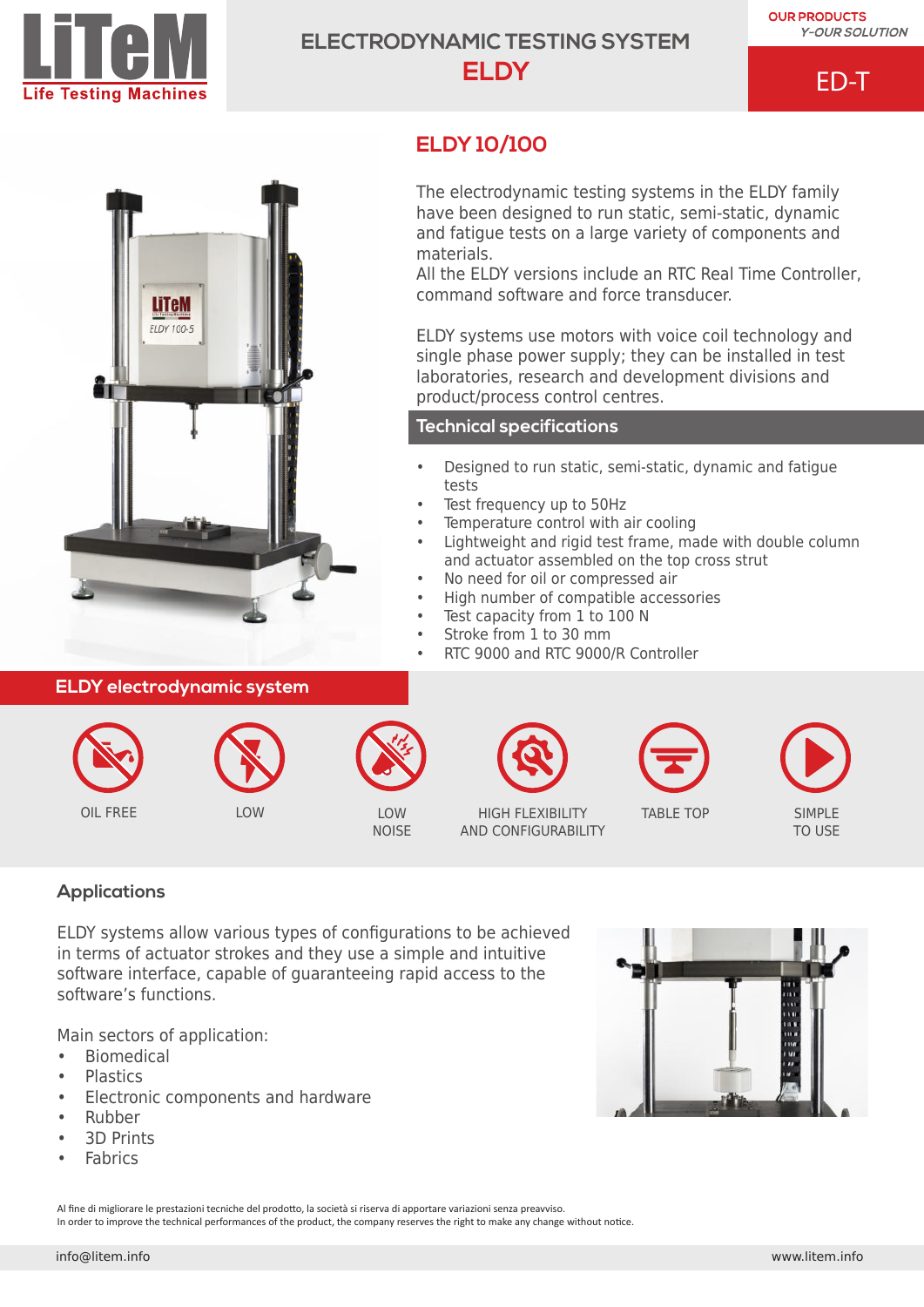

# **ELECTRODYNAMIC TESTING SYSTEM ELDY**

**ELDY 10/100**

materials.

tests

ED-T



## **ELDY electrodynamic system**



LOW NOISE



OIL FREE LOW LOW LOW LOW HIGH FLEXIBILITY AND CONFIGURABILITY



The electrodynamic testing systems in the ELDY family have been designed to run static, semi-static, dynamic and fatigue tests on a large variety of components and

All the ELDY versions include an RTC Real Time Controller,

ELDY systems use motors with voice coil technology and single phase power supply; they can be installed in test laboratories, research and development divisions and

• Designed to run static, semi-static, dynamic and fatigue

• Lightweight and rigid test frame, made with double column

command software and force transducer.

product/process control centres.

**Technical specifications**

Test frequency up to 50Hz

Temperature control with air cooling

• No need for oil or compressed air • High number of compatible accessories

• RTC 9000 and RTC 9000/R Controller

Test capacity from 1 to 100 N Stroke from 1 to 30 mm

and actuator assembled on the top cross strut

TABLE TOP SIMPLE TO USE

# **Applications**

ELDY systems allow various types of configurations to be achieved in terms of actuator strokes and they use a simple and intuitive software interface, capable of guaranteeing rapid access to the software's functions.

Main sectors of application:

- Biomedical
- Plastics
- Electronic components and hardware
- Rubber
- 3D Prints
- **Fabrics**

Al fine di migliorare le prestazioni tecniche del prodotto, la società si riserva di apportare variazioni senza preavviso. In order to improve the technical performances of the product, the company reserves the right to make any change without notice.

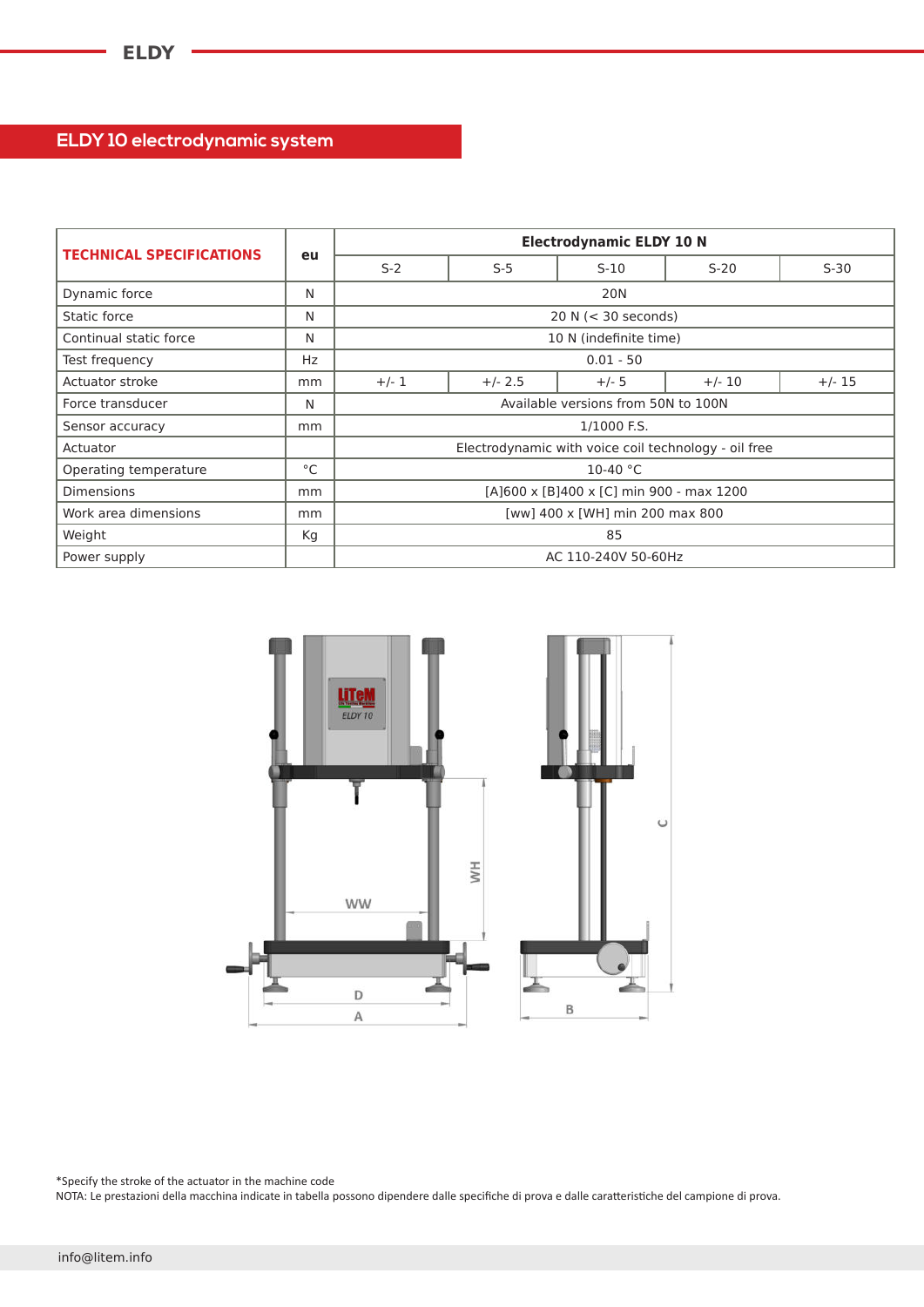# **ELDY 10 electrodynamic system**

| <b>TECHNICAL SPECIFICATIONS</b> | eu | <b>Electrodynamic ELDY 10 N</b>                      |           |         |          |          |
|---------------------------------|----|------------------------------------------------------|-----------|---------|----------|----------|
|                                 |    | $S-2$                                                | $S-5$     | $S-10$  | $S-20$   | $S-30$   |
| Dynamic force                   | N  | <b>20N</b>                                           |           |         |          |          |
| Static force                    | N  | 20 N $(<$ 30 seconds)                                |           |         |          |          |
| Continual static force          | N  | 10 N (indefinite time)                               |           |         |          |          |
| Test frequency                  | Hz | $0.01 - 50$                                          |           |         |          |          |
| Actuator stroke                 | mm | $+/- 1$                                              | $+/- 2.5$ | $+/- 5$ | $+/- 10$ | $+/- 15$ |
| Force transducer                | N  | Available versions from 50N to 100N                  |           |         |          |          |
| Sensor accuracy                 | mm | 1/1000 F.S.                                          |           |         |          |          |
| Actuator                        |    | Electrodynamic with voice coil technology - oil free |           |         |          |          |
| Operating temperature           | °C | 10-40 $°C$                                           |           |         |          |          |
| <b>Dimensions</b>               | mm | [A]600 x [B]400 x [C] min 900 - max 1200             |           |         |          |          |
| Work area dimensions            | mm | [ww] 400 x [WH] min 200 max 800                      |           |         |          |          |
| Weight                          | Кg | 85                                                   |           |         |          |          |
| Power supply                    |    | AC 110-240V 50-60Hz                                  |           |         |          |          |



\*Specify the stroke of the actuator in the machine code

NOTA: Le prestazioni della macchina indicate in tabella possono dipendere dalle specifiche di prova e dalle caratteristiche del campione di prova.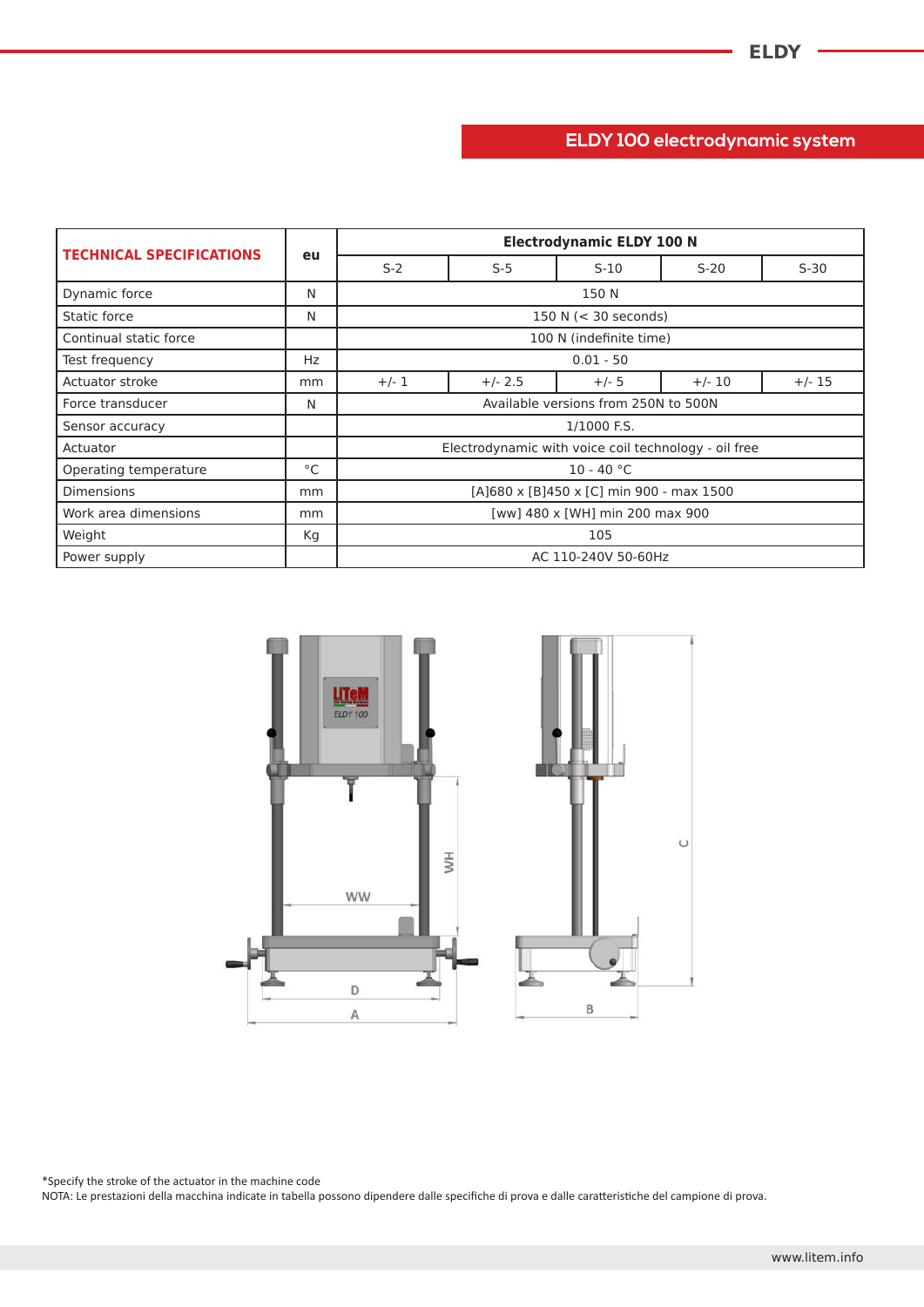# **ELDY 100 electrodynamic system**

| <b>TECHNICAL SPECIFICATIONS</b> | eu  | <b>Electrodynamic ELDY 100 N</b>                     |           |         |          |          |
|---------------------------------|-----|------------------------------------------------------|-----------|---------|----------|----------|
|                                 |     | $S-2$                                                | $S-5$     | $S-10$  | $S-20$   | $S-30$   |
| Dynamic force                   | N   | 150 N                                                |           |         |          |          |
| Static force                    | N   | 150 N $(< 30$ seconds)                               |           |         |          |          |
| Continual static force          |     | 100 N (indefinite time)                              |           |         |          |          |
| Test frequency                  | Hz. | $0.01 - 50$                                          |           |         |          |          |
| Actuator stroke                 | mm  | $+/- 1$                                              | $+/- 2.5$ | $+/- 5$ | $+/- 10$ | $+/- 15$ |
| Force transducer                | N   | Available versions from 250N to 500N                 |           |         |          |          |
| Sensor accuracy                 |     | 1/1000 F.S.                                          |           |         |          |          |
| Actuator                        |     | Electrodynamic with voice coil technology - oil free |           |         |          |          |
| Operating temperature           | °C  | $10 - 40 °C$                                         |           |         |          |          |
| <b>Dimensions</b>               | mm  | [A]680 x [B]450 x [C] min 900 - max 1500             |           |         |          |          |
| Work area dimensions            | mm  | [ww] 480 x [WH] min 200 max 900                      |           |         |          |          |
| Weight                          | Кg  | 105                                                  |           |         |          |          |
| Power supply                    |     | AC 110-240V 50-60Hz                                  |           |         |          |          |



\*Specify the stroke of the actuator in the machine code

NOTA: Le prestazioni della macchina indicate in tabella possono dipendere dalle specifiche di prova e dalle caratteristiche del campione di prova.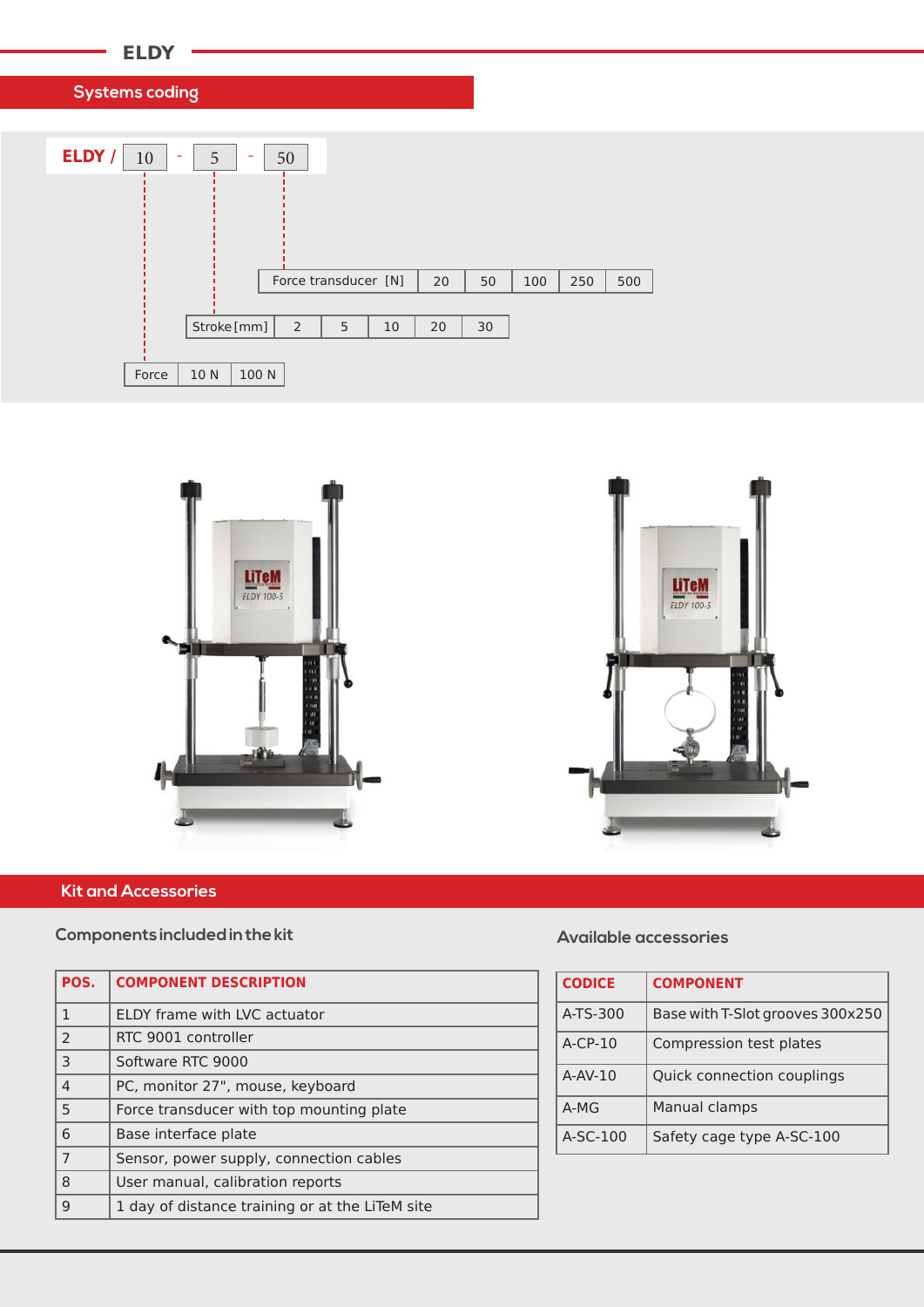

**Systems coding**







## **Kit and Accessories**

#### **Components included in the kit**

| POS.           | <b>COMPONENT DESCRIPTION</b>                    |
|----------------|-------------------------------------------------|
| 1              | ELDY frame with LVC actuator                    |
| $\mathcal{P}$  | RTC 9001 controller                             |
| 3              | Software RTC 9000                               |
| $\overline{4}$ | PC, monitor 27", mouse, keyboard                |
| 5              | Force transducer with top mounting plate        |
| 6              | Base interface plate                            |
| $\overline{7}$ | Sensor, power supply, connection cables         |
| 8              | User manual, calibration reports                |
| 9              | 1 day of distance training or at the LiTeM site |

### **Available accessories**

| <b>CODICE</b> | <b>COMPONENT</b>                 |
|---------------|----------------------------------|
| A-TS-300      | Base with T-Slot grooves 300x250 |
| $A-CP-10$     | Compression test plates          |
| $A-AV-10$     | Quick connection couplings       |
| $A-MG$        | Manual clamps                    |
| $A-SC-100$    | Safety cage type A-SC-100        |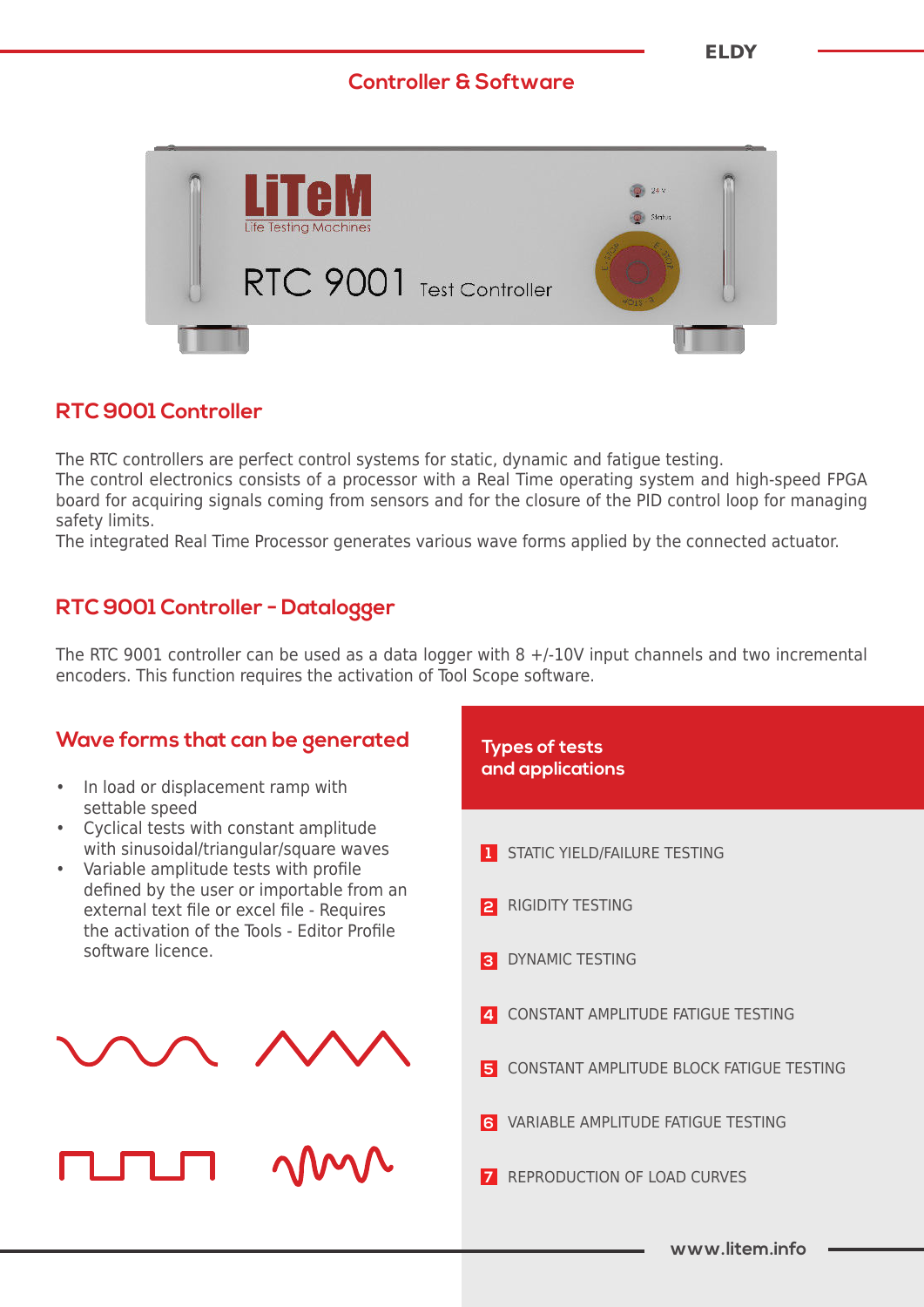# **Controller & Software**



# **RTC 9001 Controller**

The RTC controllers are perfect control systems for static, dynamic and fatigue testing. The control electronics consists of a processor with a Real Time operating system and high-speed FPGA board for acquiring signals coming from sensors and for the closure of the PID control loop for managing safety limits.

The integrated Real Time Processor generates various wave forms applied by the connected actuator.

# **RTC 9001 Controller - Datalogger**

The RTC 9001 controller can be used as a data logger with 8 +/-10V input channels and two incremental encoders. This function requires the activation of Tool Scope software.

# **Wave forms that can be generated**

- In load or displacement ramp with settable speed
- Cyclical tests with constant amplitude with sinusoidal/triangular/square waves
- Variable amplitude tests with profile defined by the user or importable from an external text file or excel file - Requires the activation of the Tools - Editor Profile software licence.





**www.litem.info** STATIC YIELD/FAILURE TESTING REPRODUCTION OF LOAD CURVES VARIABLE AMPLITUDE FATIGUE TESTING CONSTANT AMPLITUDE BLOCK FATIGUE TESTING CONSTANT AMPLITUDE FATIGUE TESTING DYNAMIC TESTING RIGIDITY TESTING **Types of tests and applications**